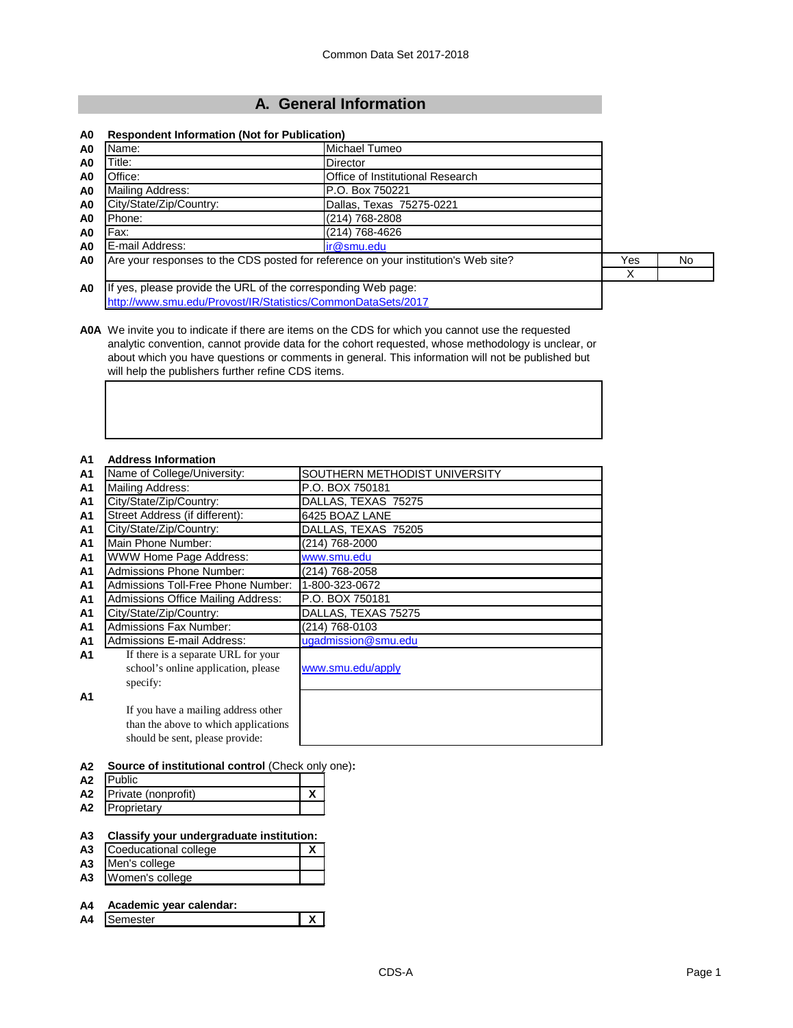# **A. General Information**

### **A0 Respondent Information (Not for Publication)**

| A0             | Name:                                                                              | Michael Tumeo                           |     |     |
|----------------|------------------------------------------------------------------------------------|-----------------------------------------|-----|-----|
| A0             | Title:                                                                             | <b>Director</b>                         |     |     |
| A0             | Office:                                                                            | <b>Office of Institutional Research</b> |     |     |
| A <sub>0</sub> | Mailing Address:                                                                   | P.O. Box 750221                         |     |     |
| A <sub>0</sub> | City/State/Zip/Country:                                                            | Dallas, Texas 75275-0221                |     |     |
| A0             | Phone:                                                                             | (214) 768-2808                          |     |     |
| A0             | Fax:                                                                               | (214) 768-4626                          |     |     |
| A <sub>0</sub> | E-mail Address:                                                                    | ir@smu.edu                              |     |     |
| A <sub>0</sub> | Are your responses to the CDS posted for reference on your institution's Web site? |                                         | Yes | No. |
|                |                                                                                    |                                         |     |     |
| A <sub>0</sub> | If yes, please provide the URL of the corresponding Web page:                      |                                         |     |     |
|                | http://www.smu.edu/Provost/IR/Statistics/CommonDataSets/2017                       |                                         |     |     |

**A0A** We invite you to indicate if there are items on the CDS for which you cannot use the requested analytic convention, cannot provide data for the cohort requested, whose methodology is unclear, or about which you have questions or comments in general. This information will not be published but will help the publishers further refine CDS items.

#### **A1 Address Information**

### **A2 Source of institutional control** (Check only one)**:**

| A <sub>2</sub> | <b>IPublic</b>      |  |  |
|----------------|---------------------|--|--|
| <b>A2</b>      | Private (nonprofit) |  |  |
| A2             | Proprietary         |  |  |

**A3 Classify your undergraduate institution:**

- **A3** Coeducational college **X**
- **A3** Men's college **A3** Women's college
- 

```
A4 Academic year calendar:
A Semester X
```